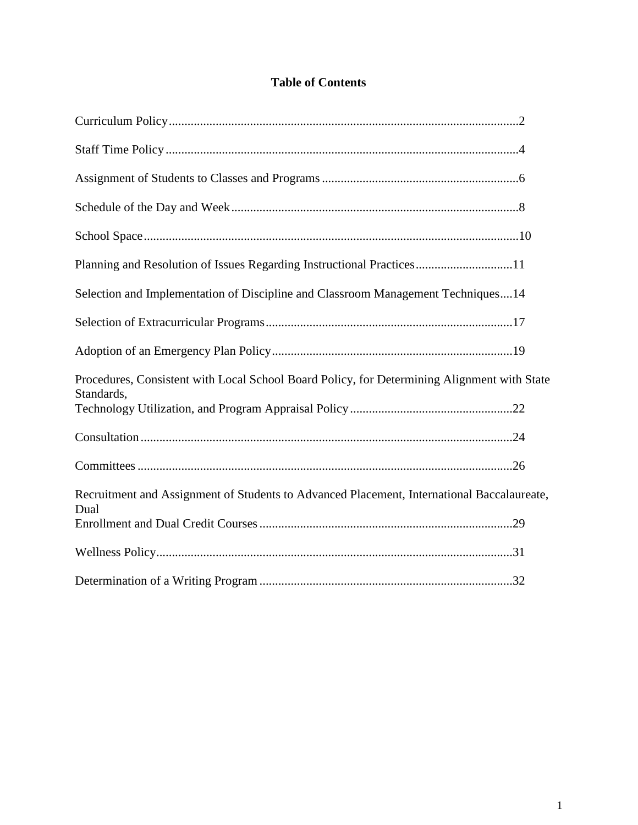# **Table of Contents**

| Planning and Resolution of Issues Regarding Instructional Practices11                       |
|---------------------------------------------------------------------------------------------|
| Selection and Implementation of Discipline and Classroom Management Techniques14            |
|                                                                                             |
|                                                                                             |
| Procedures, Consistent with Local School Board Policy, for Determining Alignment with State |
| Standards,                                                                                  |
|                                                                                             |
|                                                                                             |
| Recruitment and Assignment of Students to Advanced Placement, International Baccalaureate,  |
| Dual                                                                                        |
|                                                                                             |
|                                                                                             |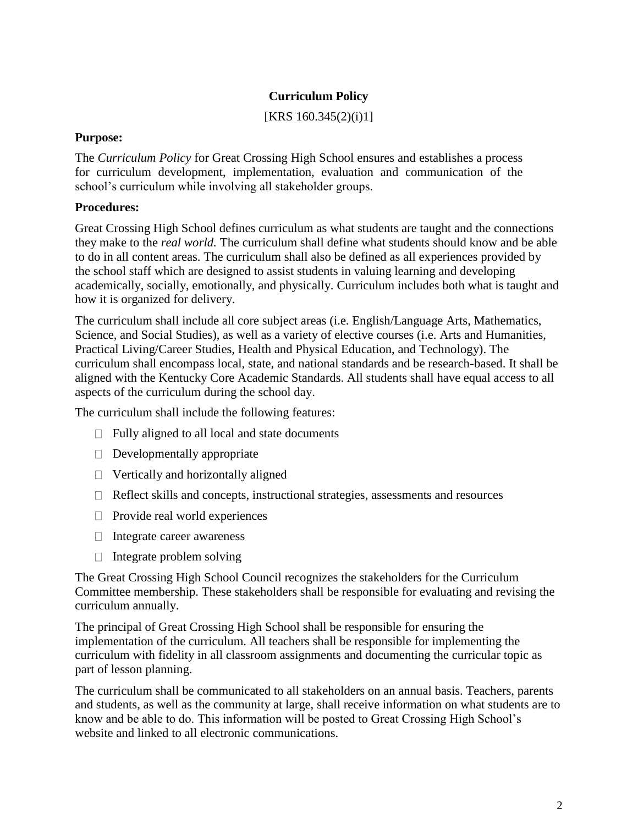# **Curriculum Policy**

[KRS 160.345(2)(i)1]

### **Purpose:**

The *Curriculum Policy* for Great Crossing High School ensures and establishes a process for curriculum development, implementation, evaluation and communication of the school's curriculum while involving all stakeholder groups.

## **Procedures:**

Great Crossing High School defines curriculum as what students are taught and the connections they make to the *real world.* The curriculum shall define what students should know and be able to do in all content areas. The curriculum shall also be defined as all experiences provided by the school staff which are designed to assist students in valuing learning and developing academically, socially, emotionally, and physically. Curriculum includes both what is taught and how it is organized for delivery.

The curriculum shall include all core subject areas (i.e. English/Language Arts, Mathematics, Science, and Social Studies), as well as a variety of elective courses (i.e. Arts and Humanities, Practical Living/Career Studies, Health and Physical Education, and Technology). The curriculum shall encompass local, state, and national standards and be research-based. It shall be aligned with the Kentucky Core Academic Standards. All students shall have equal access to all aspects of the curriculum during the school day.

The curriculum shall include the following features:

- $\Box$  Fully aligned to all local and state documents
- $\Box$  Developmentally appropriate
- $\Box$  Vertically and horizontally aligned
- $\Box$  Reflect skills and concepts, instructional strategies, assessments and resources
- $\Box$  Provide real world experiences
- $\Box$  Integrate career awareness
- $\Box$  Integrate problem solving

The Great Crossing High School Council recognizes the stakeholders for the Curriculum Committee membership. These stakeholders shall be responsible for evaluating and revising the curriculum annually.

The principal of Great Crossing High School shall be responsible for ensuring the implementation of the curriculum. All teachers shall be responsible for implementing the curriculum with fidelity in all classroom assignments and documenting the curricular topic as part of lesson planning.

The curriculum shall be communicated to all stakeholders on an annual basis. Teachers, parents and students, as well as the community at large, shall receive information on what students are to know and be able to do. This information will be posted to Great Crossing High School's website and linked to all electronic communications.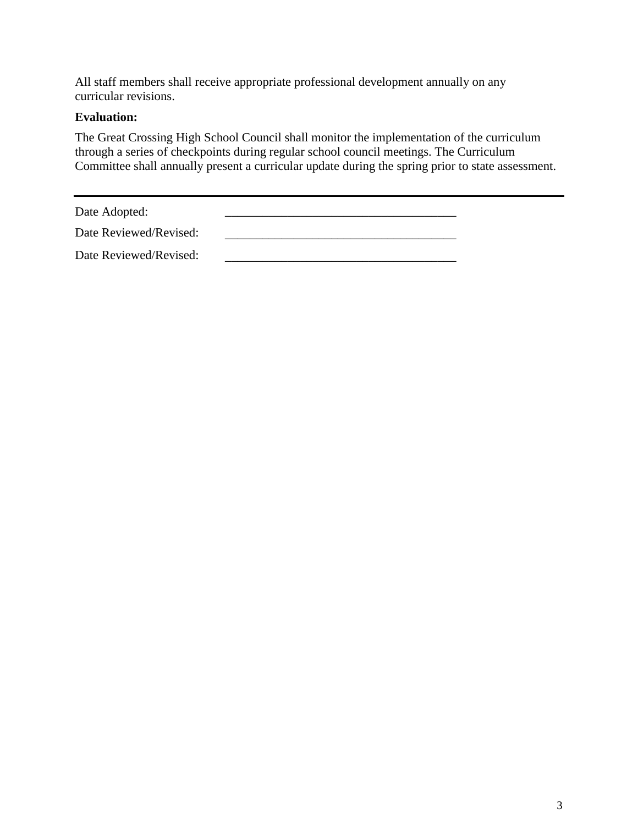All staff members shall receive appropriate professional development annually on any curricular revisions.

## **Evaluation:**

The Great Crossing High School Council shall monitor the implementation of the curriculum through a series of checkpoints during regular school council meetings. The Curriculum Committee shall annually present a curricular update during the spring prior to state assessment.

Date Adopted: \_\_\_\_\_\_\_\_\_\_\_\_\_\_\_\_\_\_\_\_\_\_\_\_\_\_\_\_\_\_\_\_\_\_\_\_\_

| Date Reviewed/Revised: |  |  |
|------------------------|--|--|
|                        |  |  |

Date Reviewed/Revised: \_\_\_\_\_\_\_\_\_\_\_\_\_\_\_\_\_\_\_\_\_\_\_\_\_\_\_\_\_\_\_\_\_\_\_\_\_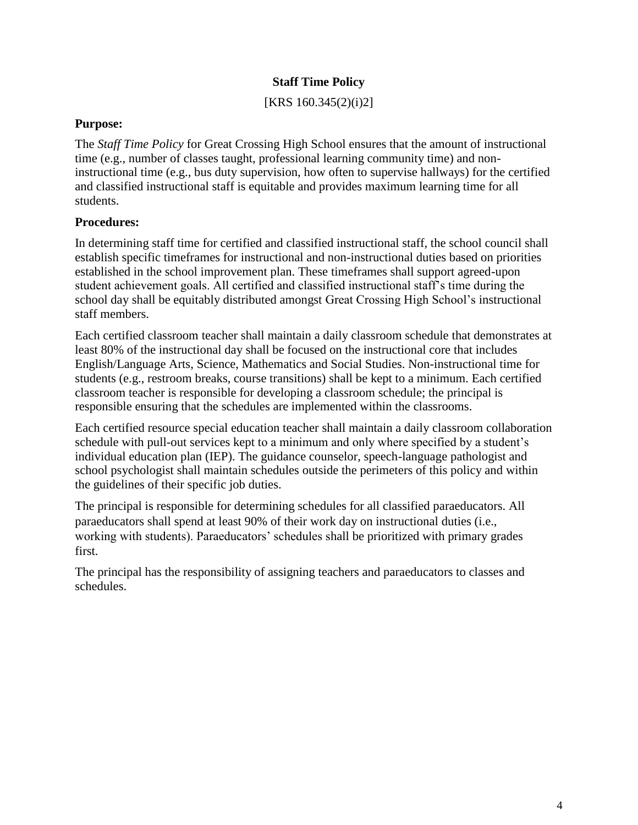## **Staff Time Policy**

[KRS 160.345(2)(i)2]

#### **Purpose:**

The *Staff Time Policy* for Great Crossing High School ensures that the amount of instructional time (e.g., number of classes taught, professional learning community time) and noninstructional time (e.g., bus duty supervision, how often to supervise hallways) for the certified and classified instructional staff is equitable and provides maximum learning time for all students.

#### **Procedures:**

In determining staff time for certified and classified instructional staff, the school council shall establish specific timeframes for instructional and non-instructional duties based on priorities established in the school improvement plan. These timeframes shall support agreed-upon student achievement goals. All certified and classified instructional staff's time during the school day shall be equitably distributed amongst Great Crossing High School's instructional staff members.

Each certified classroom teacher shall maintain a daily classroom schedule that demonstrates at least 80% of the instructional day shall be focused on the instructional core that includes English/Language Arts, Science, Mathematics and Social Studies. Non-instructional time for students (e.g., restroom breaks, course transitions) shall be kept to a minimum. Each certified classroom teacher is responsible for developing a classroom schedule; the principal is responsible ensuring that the schedules are implemented within the classrooms.

Each certified resource special education teacher shall maintain a daily classroom collaboration schedule with pull-out services kept to a minimum and only where specified by a student's individual education plan (IEP). The guidance counselor, speech-language pathologist and school psychologist shall maintain schedules outside the perimeters of this policy and within the guidelines of their specific job duties.

The principal is responsible for determining schedules for all classified paraeducators. All paraeducators shall spend at least 90% of their work day on instructional duties (i.e., working with students). Paraeducators' schedules shall be prioritized with primary grades first.

The principal has the responsibility of assigning teachers and paraeducators to classes and schedules.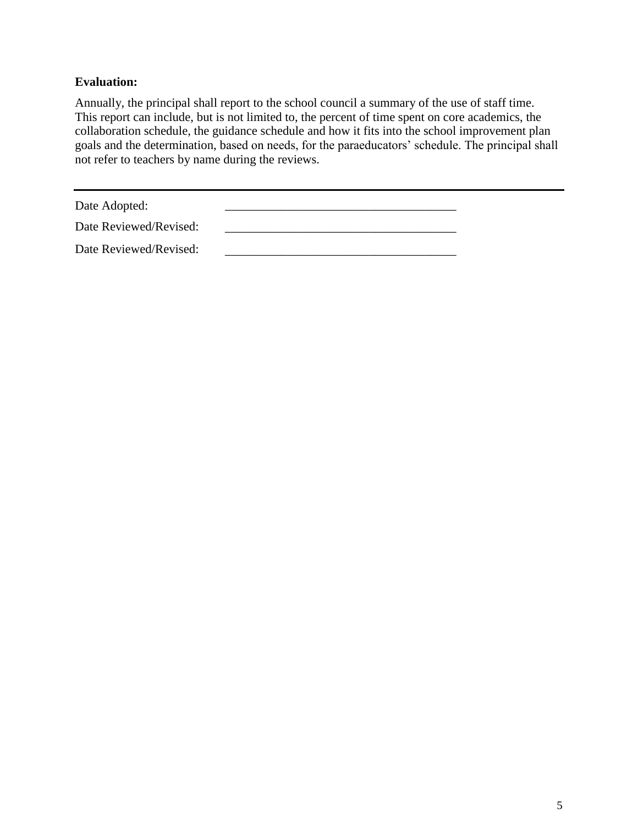## **Evaluation:**

Annually, the principal shall report to the school council a summary of the use of staff time. This report can include, but is not limited to, the percent of time spent on core academics, the collaboration schedule, the guidance schedule and how it fits into the school improvement plan goals and the determination, based on needs, for the paraeducators' schedule. The principal shall not refer to teachers by name during the reviews.

Date Adopted:

| Date Reviewed/Revised: |  |
|------------------------|--|
| Date Reviewed/Revised: |  |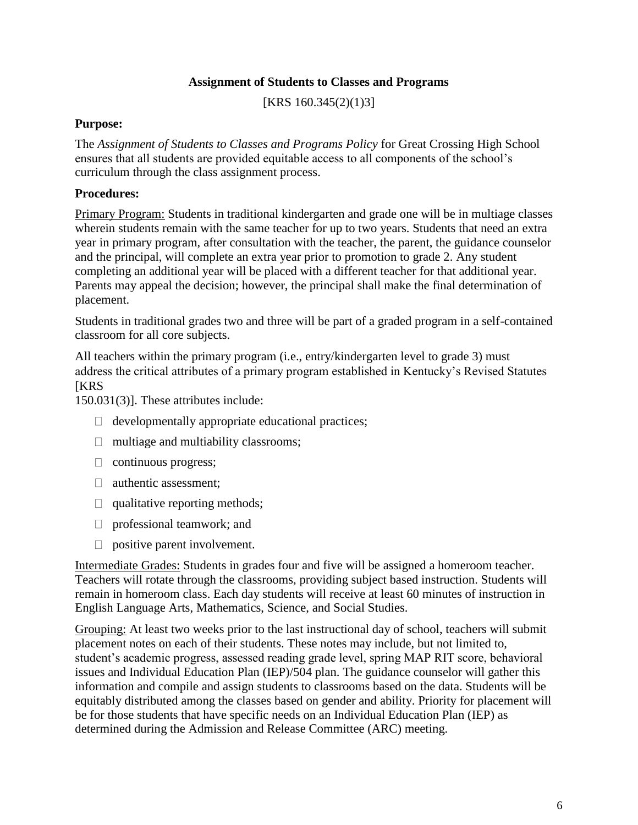# **Assignment of Students to Classes and Programs**

[KRS 160.345(2)(1)3]

#### **Purpose:**

The *Assignment of Students to Classes and Programs Policy* for Great Crossing High School ensures that all students are provided equitable access to all components of the school's curriculum through the class assignment process.

### **Procedures:**

Primary Program: Students in traditional kindergarten and grade one will be in multiage classes wherein students remain with the same teacher for up to two years. Students that need an extra year in primary program, after consultation with the teacher, the parent, the guidance counselor and the principal, will complete an extra year prior to promotion to grade 2. Any student completing an additional year will be placed with a different teacher for that additional year. Parents may appeal the decision; however, the principal shall make the final determination of placement.

Students in traditional grades two and three will be part of a graded program in a self-contained classroom for all core subjects.

All teachers within the primary program (i.e., entry/kindergarten level to grade 3) must address the critical attributes of a primary program established in Kentucky's Revised Statutes **IKRS** 

150.031(3)]. These attributes include:

- $\Box$  developmentally appropriate educational practices;
- $\Box$  multiage and multiability classrooms;
- $\Box$  continuous progress;
- □ authentic assessment;
- $\Box$  qualitative reporting methods;
- □ professional teamwork; and
- $\Box$  positive parent involvement.

Intermediate Grades: Students in grades four and five will be assigned a homeroom teacher. Teachers will rotate through the classrooms, providing subject based instruction. Students will remain in homeroom class. Each day students will receive at least 60 minutes of instruction in English Language Arts, Mathematics, Science, and Social Studies.

Grouping: At least two weeks prior to the last instructional day of school, teachers will submit placement notes on each of their students. These notes may include, but not limited to, student's academic progress, assessed reading grade level, spring MAP RIT score, behavioral issues and Individual Education Plan (IEP)/504 plan. The guidance counselor will gather this information and compile and assign students to classrooms based on the data. Students will be equitably distributed among the classes based on gender and ability. Priority for placement will be for those students that have specific needs on an Individual Education Plan (IEP) as determined during the Admission and Release Committee (ARC) meeting.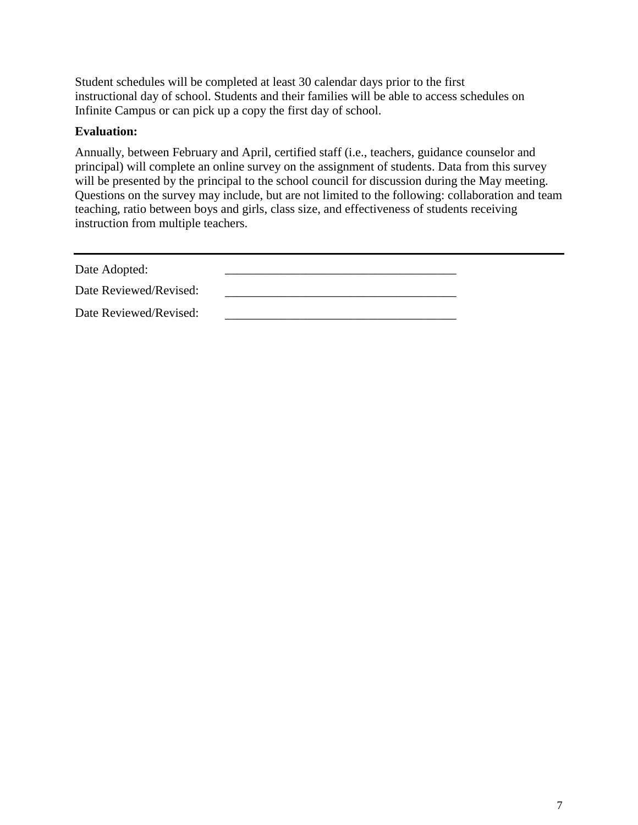Student schedules will be completed at least 30 calendar days prior to the first instructional day of school. Students and their families will be able to access schedules on Infinite Campus or can pick up a copy the first day of school.

### **Evaluation:**

Annually, between February and April, certified staff (i.e., teachers, guidance counselor and principal) will complete an online survey on the assignment of students. Data from this survey will be presented by the principal to the school council for discussion during the May meeting. Questions on the survey may include, but are not limited to the following: collaboration and team teaching, ratio between boys and girls, class size, and effectiveness of students receiving instruction from multiple teachers.

| Date Adopted:          |  |
|------------------------|--|
| Date Reviewed/Revised: |  |
| Date Reviewed/Revised: |  |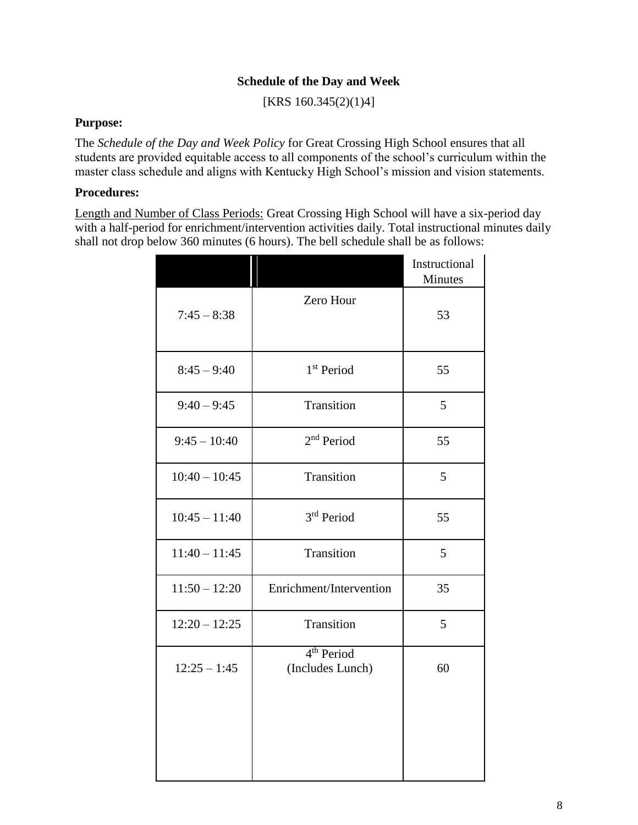## **Schedule of the Day and Week**

[KRS 160.345(2)(1)4]

#### **Purpose:**

The *Schedule of the Day and Week Policy* for Great Crossing High School ensures that all students are provided equitable access to all components of the school's curriculum within the master class schedule and aligns with Kentucky High School's mission and vision statements.

### **Procedures:**

Length and Number of Class Periods: Great Crossing High School will have a six-period day with a half-period for enrichment/intervention activities daily. Total instructional minutes daily shall not drop below 360 minutes (6 hours). The bell schedule shall be as follows:

|                 |                                            | Instructional<br>Minutes |
|-----------------|--------------------------------------------|--------------------------|
| $7:45 - 8:38$   | Zero Hour                                  | 53                       |
| $8:45 - 9:40$   | 1 <sup>st</sup> Period                     | 55                       |
| $9:40 - 9:45$   | Transition                                 | 5                        |
| $9:45 - 10:40$  | 2 <sup>nd</sup> Period                     | 55                       |
| $10:40 - 10:45$ | Transition                                 | 5                        |
| $10:45 - 11:40$ | 3 <sup>rd</sup> Period                     | 55                       |
| $11:40 - 11:45$ | Transition                                 | 5                        |
| $11:50 - 12:20$ | Enrichment/Intervention                    | 35                       |
| $12:20 - 12:25$ | Transition                                 | 5                        |
| $12:25 - 1:45$  | 4 <sup>th</sup> Period<br>(Includes Lunch) | 60                       |
|                 |                                            |                          |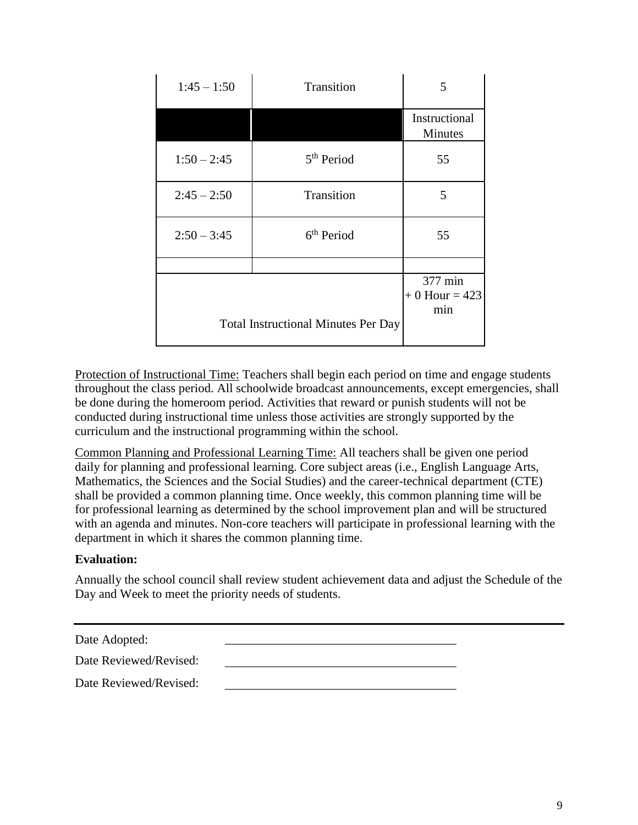| $1:45 - 1:50$ | Transition                                 | 5                                 |
|---------------|--------------------------------------------|-----------------------------------|
|               |                                            | Instructional<br><b>Minutes</b>   |
| $1:50 - 2:45$ | 5 <sup>th</sup> Period                     | 55                                |
| $2:45 - 2:50$ | Transition                                 | 5                                 |
| $2:50 - 3:45$ | 6 <sup>th</sup> Period                     | 55                                |
|               |                                            |                                   |
|               |                                            | 377 min<br>$+0$ Hour = 423<br>min |
|               | <b>Total Instructional Minutes Per Day</b> |                                   |

Protection of Instructional Time: Teachers shall begin each period on time and engage students throughout the class period. All schoolwide broadcast announcements, except emergencies, shall be done during the homeroom period. Activities that reward or punish students will not be conducted during instructional time unless those activities are strongly supported by the curriculum and the instructional programming within the school.

Common Planning and Professional Learning Time: All teachers shall be given one period daily for planning and professional learning. Core subject areas (i.e., English Language Arts, Mathematics, the Sciences and the Social Studies) and the career-technical department (CTE) shall be provided a common planning time. Once weekly, this common planning time will be for professional learning as determined by the school improvement plan and will be structured with an agenda and minutes. Non-core teachers will participate in professional learning with the department in which it shares the common planning time.

# **Evaluation:**

Annually the school council shall review student achievement data and adjust the Schedule of the Day and Week to meet the priority needs of students.

Date Adopted:

Date Reviewed/Revised: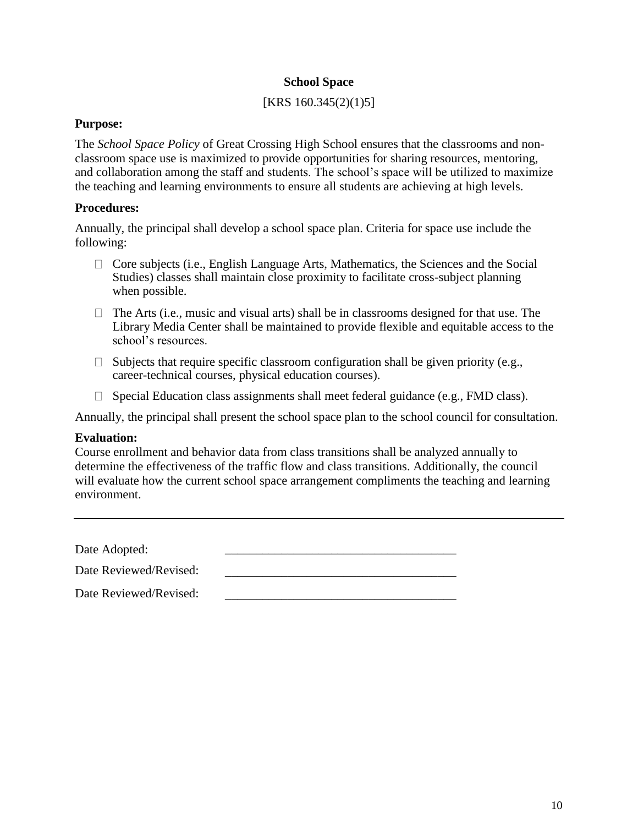#### **School Space**

## [KRS 160.345(2)(1)5]

#### **Purpose:**

The *School Space Policy* of Great Crossing High School ensures that the classrooms and nonclassroom space use is maximized to provide opportunities for sharing resources, mentoring, and collaboration among the staff and students. The school's space will be utilized to maximize the teaching and learning environments to ensure all students are achieving at high levels.

## **Procedures:**

Annually, the principal shall develop a school space plan. Criteria for space use include the following:

- $\Box$  Core subjects (i.e., English Language Arts, Mathematics, the Sciences and the Social Studies) classes shall maintain close proximity to facilitate cross-subject planning when possible.
- $\Box$  The Arts (i.e., music and visual arts) shall be in classrooms designed for that use. The Library Media Center shall be maintained to provide flexible and equitable access to the school's resources.
- $\Box$  Subjects that require specific classroom configuration shall be given priority (e.g., career-technical courses, physical education courses).
- $\Box$  Special Education class assignments shall meet federal guidance (e.g., FMD class).

Annually, the principal shall present the school space plan to the school council for consultation.

# **Evaluation:**

Course enrollment and behavior data from class transitions shall be analyzed annually to determine the effectiveness of the traffic flow and class transitions. Additionally, the council will evaluate how the current school space arrangement compliments the teaching and learning environment.

Date Adopted:

Date Reviewed/Revised: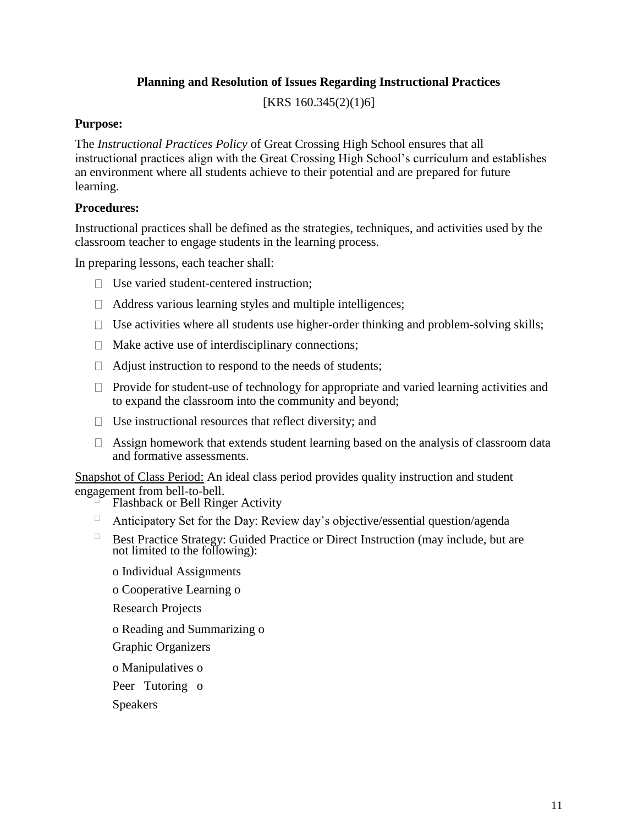# **Planning and Resolution of Issues Regarding Instructional Practices**

[KRS 160.345(2)(1)6]

## **Purpose:**

The *Instructional Practices Policy* of Great Crossing High School ensures that all instructional practices align with the Great Crossing High School's curriculum and establishes an environment where all students achieve to their potential and are prepared for future learning.

# **Procedures:**

Instructional practices shall be defined as the strategies, techniques, and activities used by the classroom teacher to engage students in the learning process.

In preparing lessons, each teacher shall:

- $\Box$  Use varied student-centered instruction:
- $\Box$  Address various learning styles and multiple intelligences;
- $\Box$  Use activities where all students use higher-order thinking and problem-solving skills;
- $\Box$  Make active use of interdisciplinary connections;
- $\Box$  Adjust instruction to respond to the needs of students;
- $\Box$  Provide for student-use of technology for appropriate and varied learning activities and to expand the classroom into the community and beyond;
- $\Box$  Use instructional resources that reflect diversity; and
- $\Box$  Assign homework that extends student learning based on the analysis of classroom data and formative assessments.

Snapshot of Class Period: An ideal class period provides quality instruction and student engagement from bell-to-bell.

- Flashback or Bell Ringer Activity
- $\Box$ Anticipatory Set for the Day: Review day's objective/essential question/agenda
- $\Box$ Best Practice Strategy: Guided Practice or Direct Instruction (may include, but are not limited to the following):
	- o Individual Assignments

o Cooperative Learning o

Research Projects

- o Reading and Summarizing o
- Graphic Organizers
- o Manipulatives o
- Peer Tutoring o

Speakers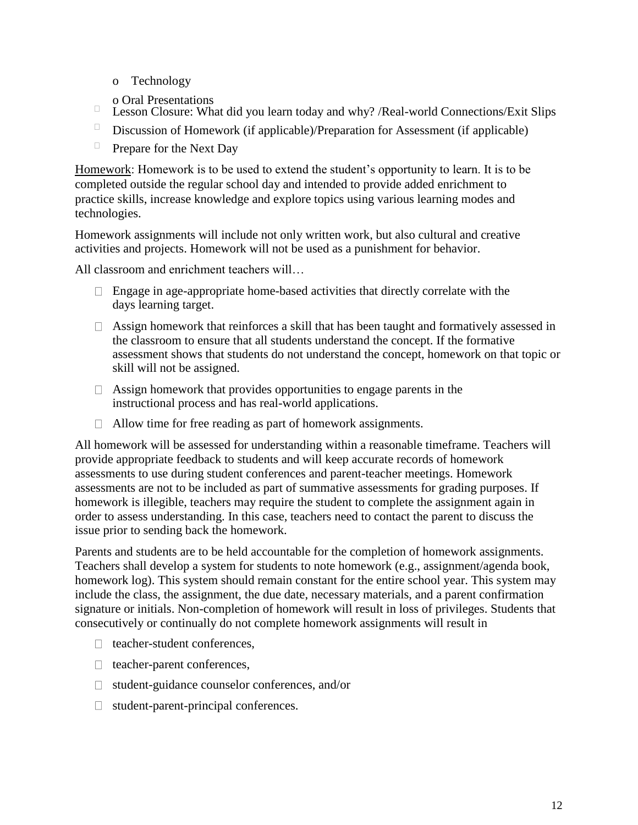- o Technology
- o Oral Presentations
- $\Box$ Lesson Closure: What did you learn today and why? /Real-world Connections/Exit Slips
- $\Box$ Discussion of Homework (if applicable)/Preparation for Assessment (if applicable)
- $\Box$ Prepare for the Next Day

Homework: Homework is to be used to extend the student's opportunity to learn. It is to be completed outside the regular school day and intended to provide added enrichment to practice skills, increase knowledge and explore topics using various learning modes and technologies.

Homework assignments will include not only written work, but also cultural and creative activities and projects. Homework will not be used as a punishment for behavior.

All classroom and enrichment teachers will…

- $\Box$  Engage in age-appropriate home-based activities that directly correlate with the days learning target.
- $\Box$  Assign homework that reinforces a skill that has been taught and formatively assessed in the classroom to ensure that all students understand the concept. If the formative assessment shows that students do not understand the concept, homework on that topic or skill will not be assigned.
- $\Box$  Assign homework that provides opportunities to engage parents in the instructional process and has real-world applications.
- $\Box$  Allow time for free reading as part of homework assignments.

All homework will be assessed for understanding within a reasonable timeframe. Teachers will provide appropriate feedback to students and will keep accurate records of homework assessments to use during student conferences and parent-teacher meetings. Homework assessments are not to be included as part of summative assessments for grading purposes. If homework is illegible, teachers may require the student to complete the assignment again in order to assess understanding. In this case, teachers need to contact the parent to discuss the issue prior to sending back the homework.

Parents and students are to be held accountable for the completion of homework assignments. Teachers shall develop a system for students to note homework (e.g., assignment/agenda book, homework log). This system should remain constant for the entire school year. This system may include the class, the assignment, the due date, necessary materials, and a parent confirmation signature or initials. Non-completion of homework will result in loss of privileges. Students that consecutively or continually do not complete homework assignments will result in

- $\Box$  teacher-student conferences,
- $\Box$  teacher-parent conferences,
- $\Box$  student-guidance counselor conferences, and/or
- $\Box$  student-parent-principal conferences.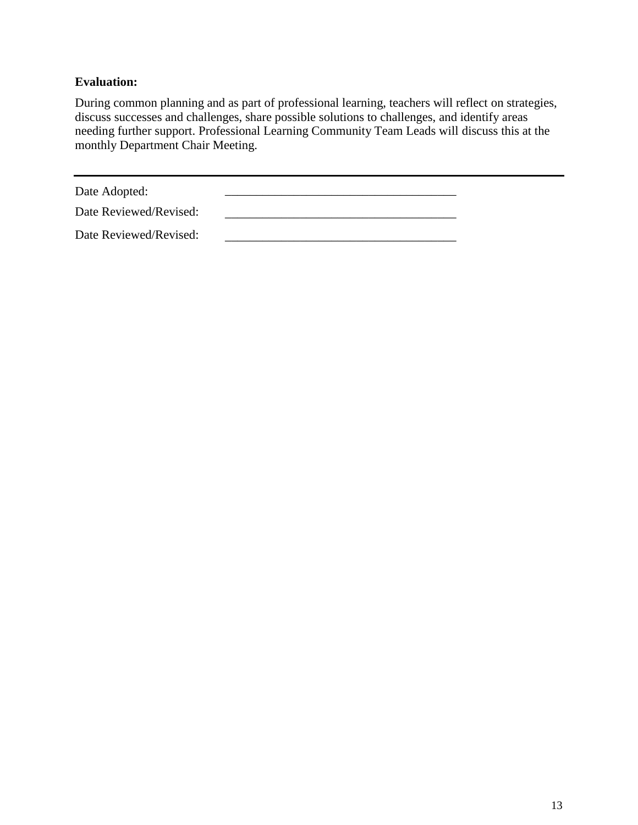# **Evaluation:**

During common planning and as part of professional learning, teachers will reflect on strategies, discuss successes and challenges, share possible solutions to challenges, and identify areas needing further support. Professional Learning Community Team Leads will discuss this at the monthly Department Chair Meeting.

Date Adopted:

Date Reviewed/Revised: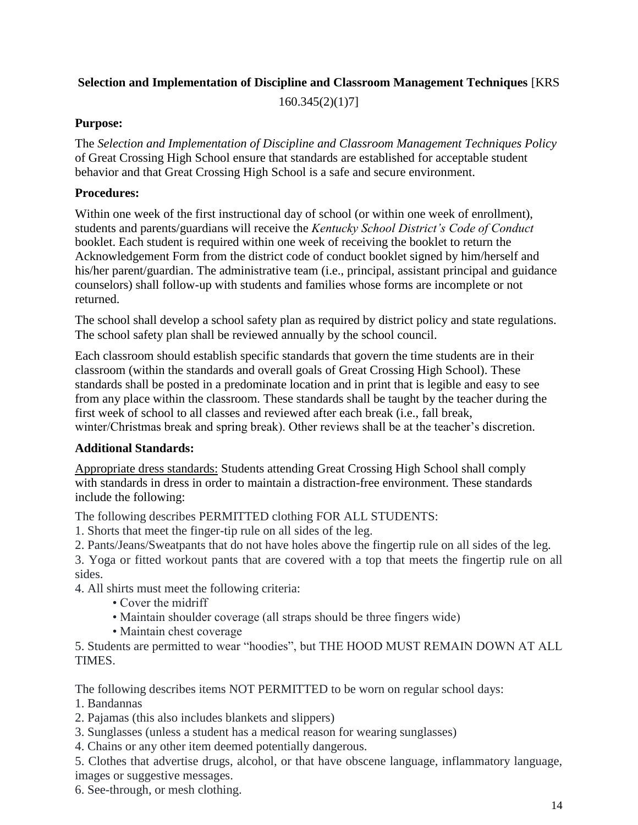# **Selection and Implementation of Discipline and Classroom Management Techniques** [KRS

160.345(2)(1)7]

## **Purpose:**

The *Selection and Implementation of Discipline and Classroom Management Techniques Policy* of Great Crossing High School ensure that standards are established for acceptable student behavior and that Great Crossing High School is a safe and secure environment.

## **Procedures:**

Within one week of the first instructional day of school (or within one week of enrollment), students and parents/guardians will receive the *Kentucky School District's Code of Conduct* booklet. Each student is required within one week of receiving the booklet to return the Acknowledgement Form from the district code of conduct booklet signed by him/herself and his/her parent/guardian. The administrative team (i.e., principal, assistant principal and guidance counselors) shall follow-up with students and families whose forms are incomplete or not returned.

The school shall develop a school safety plan as required by district policy and state regulations. The school safety plan shall be reviewed annually by the school council.

Each classroom should establish specific standards that govern the time students are in their classroom (within the standards and overall goals of Great Crossing High School). These standards shall be posted in a predominate location and in print that is legible and easy to see from any place within the classroom. These standards shall be taught by the teacher during the first week of school to all classes and reviewed after each break (i.e., fall break, winter/Christmas break and spring break). Other reviews shall be at the teacher's discretion.

# **Additional Standards:**

Appropriate dress standards: Students attending Great Crossing High School shall comply with standards in dress in order to maintain a distraction-free environment. These standards include the following:

The following describes PERMITTED clothing FOR ALL STUDENTS:

1. Shorts that meet the finger-tip rule on all sides of the leg.

2. Pants/Jeans/Sweatpants that do not have holes above the fingertip rule on all sides of the leg.

3. Yoga or fitted workout pants that are covered with a top that meets the fingertip rule on all sides.

4. All shirts must meet the following criteria:

- Cover the midriff
- Maintain shoulder coverage (all straps should be three fingers wide)
- Maintain chest coverage

5. Students are permitted to wear "hoodies", but THE HOOD MUST REMAIN DOWN AT ALL TIMES.

The following describes items NOT PERMITTED to be worn on regular school days:

- 1. Bandannas
- 2. Pajamas (this also includes blankets and slippers)
- 3. Sunglasses (unless a student has a medical reason for wearing sunglasses)
- 4. Chains or any other item deemed potentially dangerous.

5. Clothes that advertise drugs, alcohol, or that have obscene language, inflammatory language, images or suggestive messages.

6. See-through, or mesh clothing.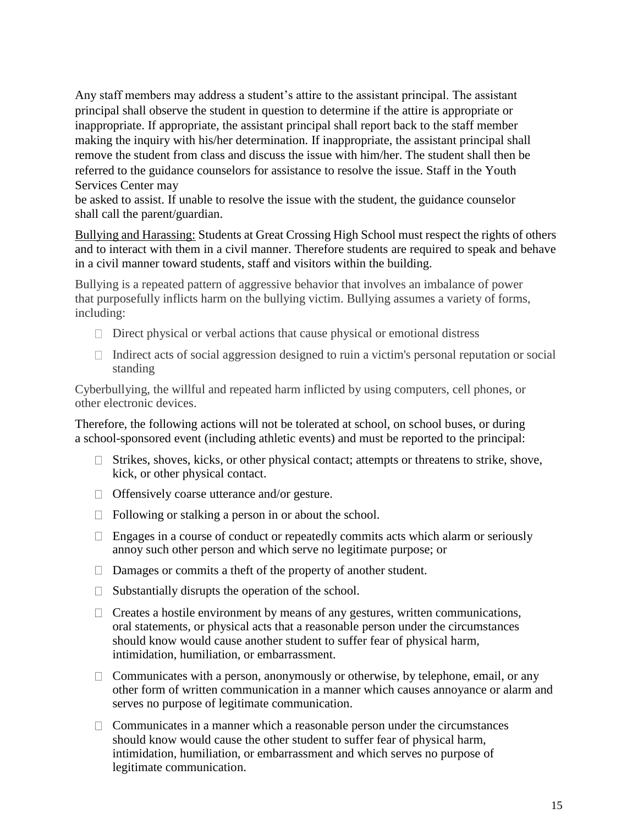Any staff members may address a student's attire to the assistant principal. The assistant principal shall observe the student in question to determine if the attire is appropriate or inappropriate. If appropriate, the assistant principal shall report back to the staff member making the inquiry with his/her determination. If inappropriate, the assistant principal shall remove the student from class and discuss the issue with him/her. The student shall then be referred to the guidance counselors for assistance to resolve the issue. Staff in the Youth Services Center may

be asked to assist. If unable to resolve the issue with the student, the guidance counselor shall call the parent/guardian.

Bullying and Harassing: Students at Great Crossing High School must respect the rights of others and to interact with them in a civil manner. Therefore students are required to speak and behave in a civil manner toward students, staff and visitors within the building.

Bullying is a repeated pattern of aggressive behavior that involves an imbalance of power that purposefully inflicts harm on the bullying victim. Bullying assumes a variety of forms, including:

- $\Box$  Direct physical or verbal actions that cause physical or emotional distress
- $\Box$  Indirect acts of social aggression designed to ruin a victim's personal reputation or social standing

Cyberbullying, the willful and repeated harm inflicted by using computers, cell phones, or other electronic devices.

Therefore, the following actions will not be tolerated at school, on school buses, or during a school-sponsored event (including athletic events) and must be reported to the principal:

- $\Box$  Strikes, shoves, kicks, or other physical contact; attempts or threatens to strike, shove, kick, or other physical contact.
- $\Box$  Offensively coarse utterance and/or gesture.
- $\Box$  Following or stalking a person in or about the school.
- $\Box$  Engages in a course of conduct or repeatedly commits acts which alarm or seriously annoy such other person and which serve no legitimate purpose; or
- □ Damages or commits a theft of the property of another student.
- $\Box$  Substantially disrupts the operation of the school.
- $\Box$  Creates a hostile environment by means of any gestures, written communications, oral statements, or physical acts that a reasonable person under the circumstances should know would cause another student to suffer fear of physical harm, intimidation, humiliation, or embarrassment.
- $\Box$  Communicates with a person, anonymously or otherwise, by telephone, email, or any other form of written communication in a manner which causes annoyance or alarm and serves no purpose of legitimate communication.
- $\Box$  Communicates in a manner which a reasonable person under the circumstances should know would cause the other student to suffer fear of physical harm, intimidation, humiliation, or embarrassment and which serves no purpose of legitimate communication.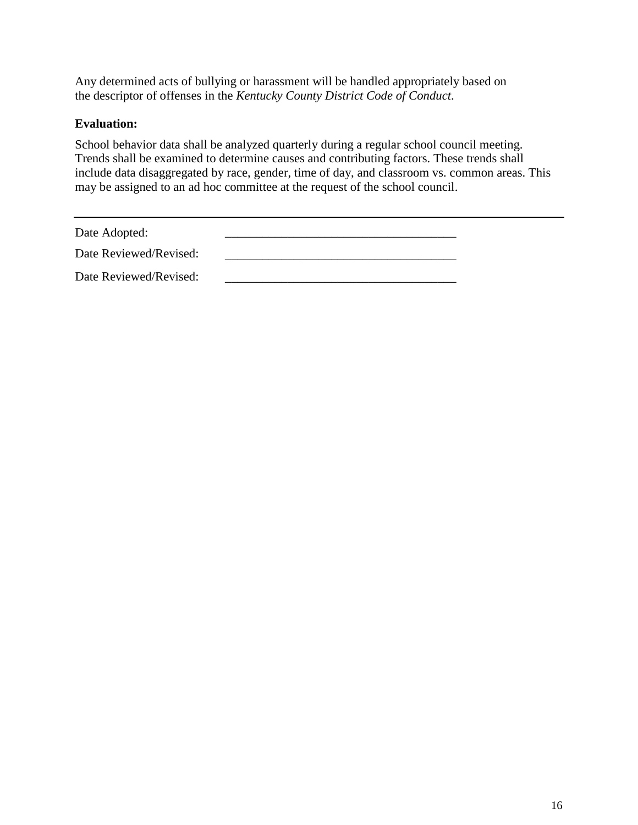Any determined acts of bullying or harassment will be handled appropriately based on the descriptor of offenses in the *Kentucky County District Code of Conduct*.

### **Evaluation:**

School behavior data shall be analyzed quarterly during a regular school council meeting. Trends shall be examined to determine causes and contributing factors. These trends shall include data disaggregated by race, gender, time of day, and classroom vs. common areas. This may be assigned to an ad hoc committee at the request of the school council.

Date Adopted:

| Date Reviewed/Revised: |  |  |
|------------------------|--|--|
| Date Reviewed/Revised: |  |  |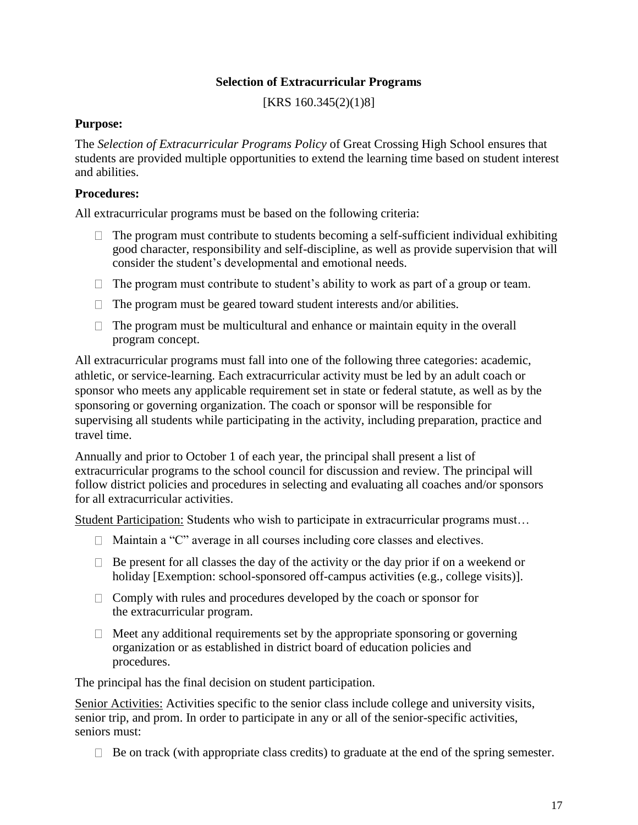### **Selection of Extracurricular Programs**

[KRS 160.345(2)(1)8]

#### **Purpose:**

The *Selection of Extracurricular Programs Policy* of Great Crossing High School ensures that students are provided multiple opportunities to extend the learning time based on student interest and abilities.

### **Procedures:**

All extracurricular programs must be based on the following criteria:

- $\Box$  The program must contribute to students becoming a self-sufficient individual exhibiting good character, responsibility and self-discipline, as well as provide supervision that will consider the student's developmental and emotional needs.
- $\Box$  The program must contribute to student's ability to work as part of a group or team.
- $\Box$  The program must be geared toward student interests and/or abilities.
- $\Box$  The program must be multicultural and enhance or maintain equity in the overall program concept.

All extracurricular programs must fall into one of the following three categories: academic, athletic, or service-learning. Each extracurricular activity must be led by an adult coach or sponsor who meets any applicable requirement set in state or federal statute, as well as by the sponsoring or governing organization. The coach or sponsor will be responsible for supervising all students while participating in the activity, including preparation, practice and travel time.

Annually and prior to October 1 of each year, the principal shall present a list of extracurricular programs to the school council for discussion and review. The principal will follow district policies and procedures in selecting and evaluating all coaches and/or sponsors for all extracurricular activities.

Student Participation: Students who wish to participate in extracurricular programs must…

- $\Box$  Maintain a "C" average in all courses including core classes and electives.
- $\Box$  Be present for all classes the day of the activity or the day prior if on a weekend or holiday [Exemption: school-sponsored off-campus activities (e.g., college visits)].
- $\Box$  Comply with rules and procedures developed by the coach or sponsor for the extracurricular program.
- $\Box$  Meet any additional requirements set by the appropriate sponsoring or governing organization or as established in district board of education policies and procedures.

The principal has the final decision on student participation.

Senior Activities: Activities specific to the senior class include college and university visits, senior trip, and prom. In order to participate in any or all of the senior-specific activities, seniors must:

 $\Box$  Be on track (with appropriate class credits) to graduate at the end of the spring semester.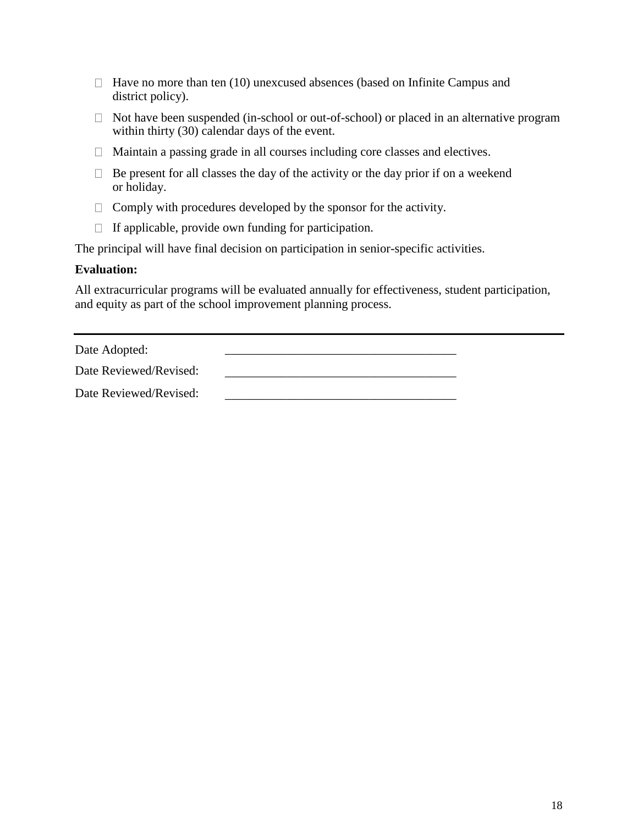- $\Box$  Have no more than ten (10) unexcused absences (based on Infinite Campus and district policy).
- $\Box$  Not have been suspended (in-school or out-of-school) or placed in an alternative program within thirty (30) calendar days of the event.
- Maintain a passing grade in all courses including core classes and electives.
- $\Box$  Be present for all classes the day of the activity or the day prior if on a weekend or holiday.
- $\Box$  Comply with procedures developed by the sponsor for the activity.
- $\Box$  If applicable, provide own funding for participation.

The principal will have final decision on participation in senior-specific activities.

#### **Evaluation:**

All extracurricular programs will be evaluated annually for effectiveness, student participation, and equity as part of the school improvement planning process.

| Date Adopted: |  |
|---------------|--|
|               |  |

| Date Reviewed/Revised: |  |
|------------------------|--|
|                        |  |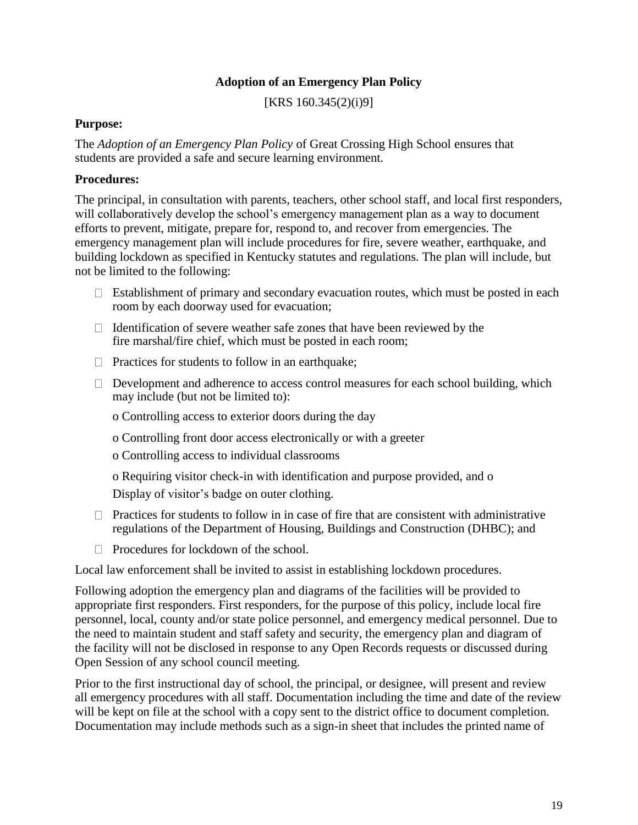# **Adoption of an Emergency Plan Policy**

[KRS 160.345(2)(i)9]

#### **Purpose:**

The *Adoption of an Emergency Plan Policy* of Great Crossing High School ensures that students are provided a safe and secure learning environment.

#### **Procedures:**

The principal, in consultation with parents, teachers, other school staff, and local first responders, will collaboratively develop the school's emergency management plan as a way to document efforts to prevent, mitigate, prepare for, respond to, and recover from emergencies. The emergency management plan will include procedures for fire, severe weather, earthquake, and building lockdown as specified in Kentucky statutes and regulations. The plan will include, but not be limited to the following:

- $\Box$  Establishment of primary and secondary evacuation routes, which must be posted in each room by each doorway used for evacuation;
- $\Box$  Identification of severe weather safe zones that have been reviewed by the fire marshal/fire chief, which must be posted in each room;
- $\Box$  Practices for students to follow in an earthquake;
- $\Box$  Development and adherence to access control measures for each school building, which may include (but not be limited to):

o Controlling access to exterior doors during the day

- o Controlling front door access electronically or with a greeter
- o Controlling access to individual classrooms

o Requiring visitor check-in with identification and purpose provided, and o Display of visitor's badge on outer clothing.

- $\Box$  Practices for students to follow in in case of fire that are consistent with administrative regulations of the Department of Housing, Buildings and Construction (DHBC); and
- $\Box$  Procedures for lockdown of the school.

Local law enforcement shall be invited to assist in establishing lockdown procedures.

Following adoption the emergency plan and diagrams of the facilities will be provided to appropriate first responders. First responders, for the purpose of this policy, include local fire personnel, local, county and/or state police personnel, and emergency medical personnel. Due to the need to maintain student and staff safety and security, the emergency plan and diagram of the facility will not be disclosed in response to any Open Records requests or discussed during Open Session of any school council meeting.

Prior to the first instructional day of school, the principal, or designee, will present and review all emergency procedures with all staff. Documentation including the time and date of the review will be kept on file at the school with a copy sent to the district office to document completion. Documentation may include methods such as a sign-in sheet that includes the printed name of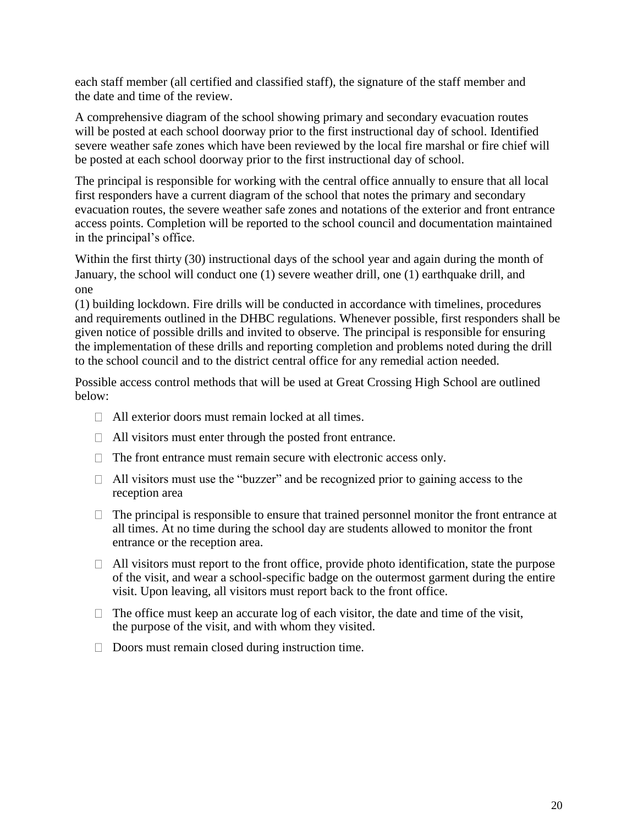each staff member (all certified and classified staff), the signature of the staff member and the date and time of the review.

A comprehensive diagram of the school showing primary and secondary evacuation routes will be posted at each school doorway prior to the first instructional day of school. Identified severe weather safe zones which have been reviewed by the local fire marshal or fire chief will be posted at each school doorway prior to the first instructional day of school.

The principal is responsible for working with the central office annually to ensure that all local first responders have a current diagram of the school that notes the primary and secondary evacuation routes, the severe weather safe zones and notations of the exterior and front entrance access points. Completion will be reported to the school council and documentation maintained in the principal's office.

Within the first thirty (30) instructional days of the school year and again during the month of January, the school will conduct one (1) severe weather drill, one (1) earthquake drill, and one

(1) building lockdown. Fire drills will be conducted in accordance with timelines, procedures and requirements outlined in the DHBC regulations. Whenever possible, first responders shall be given notice of possible drills and invited to observe. The principal is responsible for ensuring the implementation of these drills and reporting completion and problems noted during the drill to the school council and to the district central office for any remedial action needed.

Possible access control methods that will be used at Great Crossing High School are outlined below:

- $\Box$  All exterior doors must remain locked at all times.
- $\Box$  All visitors must enter through the posted front entrance.
- $\Box$  The front entrance must remain secure with electronic access only.
- $\Box$  All visitors must use the "buzzer" and be recognized prior to gaining access to the reception area
- $\Box$  The principal is responsible to ensure that trained personnel monitor the front entrance at all times. At no time during the school day are students allowed to monitor the front entrance or the reception area.
- $\Box$  All visitors must report to the front office, provide photo identification, state the purpose of the visit, and wear a school-specific badge on the outermost garment during the entire visit. Upon leaving, all visitors must report back to the front office.
- $\Box$  The office must keep an accurate log of each visitor, the date and time of the visit, the purpose of the visit, and with whom they visited.
- $\Box$  Doors must remain closed during instruction time.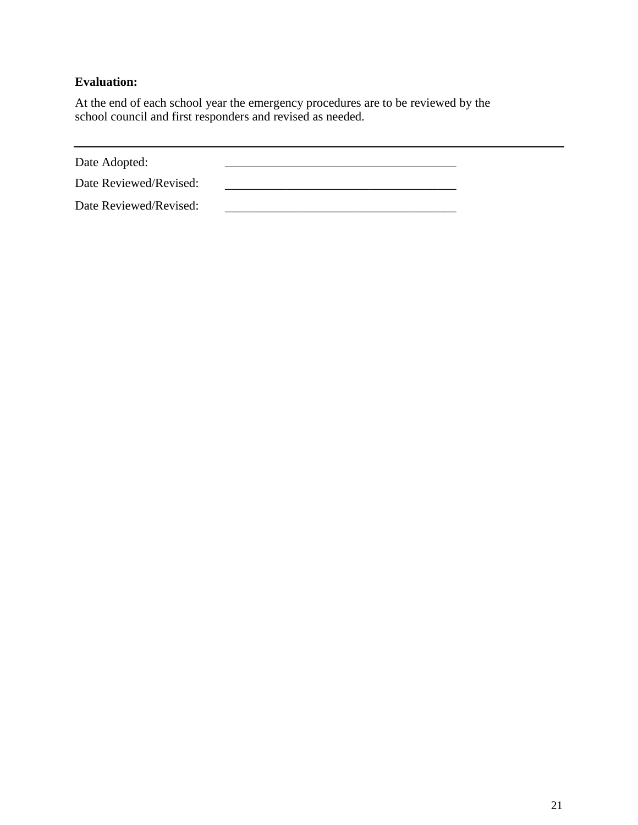# **Evaluation:**

At the end of each school year the emergency procedures are to be reviewed by the school council and first responders and revised as needed.

Date Adopted:

Date Reviewed/Revised: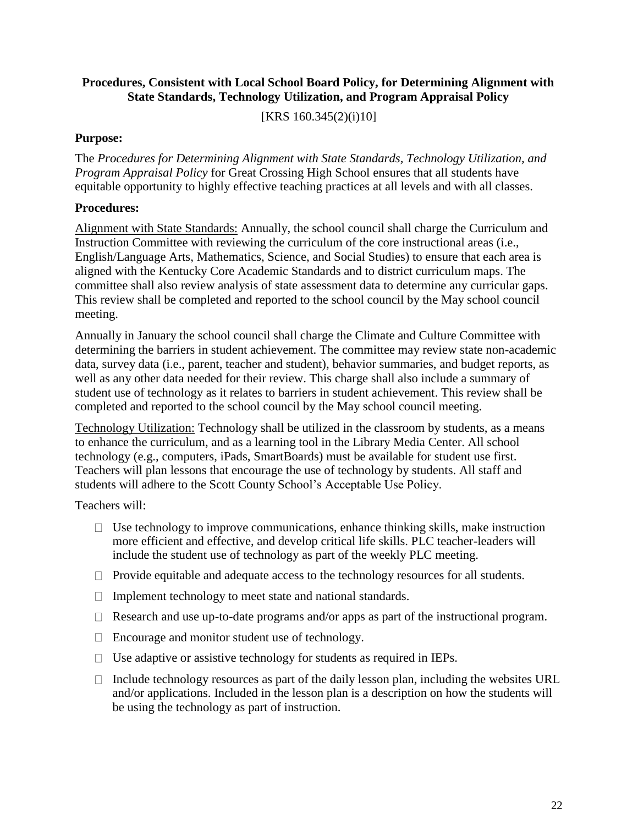## **Procedures, Consistent with Local School Board Policy, for Determining Alignment with State Standards, Technology Utilization, and Program Appraisal Policy**

[KRS 160.345(2)(i)10]

#### **Purpose:**

The *Procedures for Determining Alignment with State Standards, Technology Utilization, and Program Appraisal Policy* for Great Crossing High School ensures that all students have equitable opportunity to highly effective teaching practices at all levels and with all classes.

#### **Procedures:**

Alignment with State Standards: Annually, the school council shall charge the Curriculum and Instruction Committee with reviewing the curriculum of the core instructional areas (i.e., English/Language Arts, Mathematics, Science, and Social Studies) to ensure that each area is aligned with the Kentucky Core Academic Standards and to district curriculum maps. The committee shall also review analysis of state assessment data to determine any curricular gaps. This review shall be completed and reported to the school council by the May school council meeting.

Annually in January the school council shall charge the Climate and Culture Committee with determining the barriers in student achievement. The committee may review state non-academic data, survey data (i.e., parent, teacher and student), behavior summaries, and budget reports, as well as any other data needed for their review. This charge shall also include a summary of student use of technology as it relates to barriers in student achievement. This review shall be completed and reported to the school council by the May school council meeting.

Technology Utilization: Technology shall be utilized in the classroom by students, as a means to enhance the curriculum, and as a learning tool in the Library Media Center. All school technology (e.g., computers, iPads, SmartBoards) must be available for student use first. Teachers will plan lessons that encourage the use of technology by students. All staff and students will adhere to the Scott County School's Acceptable Use Policy.

Teachers will:

- $\Box$  Use technology to improve communications, enhance thinking skills, make instruction more efficient and effective, and develop critical life skills. PLC teacher-leaders will include the student use of technology as part of the weekly PLC meeting.
- $\Box$  Provide equitable and adequate access to the technology resources for all students.
- $\Box$  Implement technology to meet state and national standards.
- $\Box$  Research and use up-to-date programs and/or apps as part of the instructional program.
- $\Box$  Encourage and monitor student use of technology.
- $\Box$  Use adaptive or assistive technology for students as required in IEPs.
- $\Box$  Include technology resources as part of the daily lesson plan, including the websites URL and/or applications. Included in the lesson plan is a description on how the students will be using the technology as part of instruction.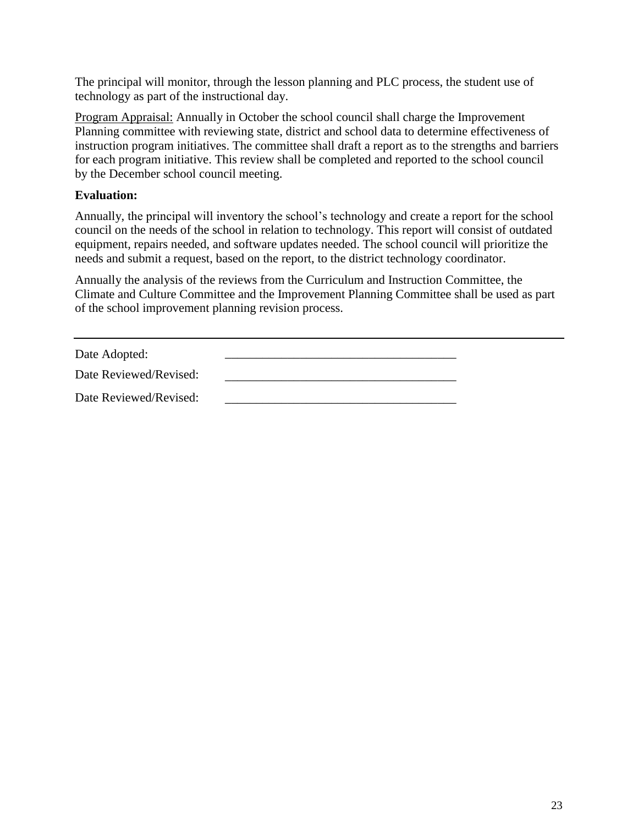The principal will monitor, through the lesson planning and PLC process, the student use of technology as part of the instructional day.

Program Appraisal: Annually in October the school council shall charge the Improvement Planning committee with reviewing state, district and school data to determine effectiveness of instruction program initiatives. The committee shall draft a report as to the strengths and barriers for each program initiative. This review shall be completed and reported to the school council by the December school council meeting.

# **Evaluation:**

Annually, the principal will inventory the school's technology and create a report for the school council on the needs of the school in relation to technology. This report will consist of outdated equipment, repairs needed, and software updates needed. The school council will prioritize the needs and submit a request, based on the report, to the district technology coordinator.

Annually the analysis of the reviews from the Curriculum and Instruction Committee, the Climate and Culture Committee and the Improvement Planning Committee shall be used as part of the school improvement planning revision process.

Date Adopted:

| Date Reviewed/Revised: |  |
|------------------------|--|
|                        |  |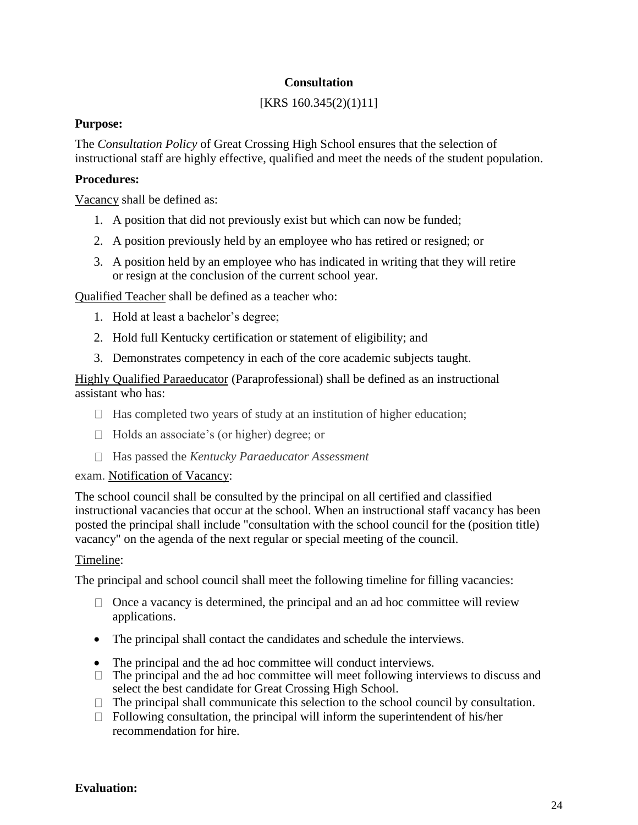# **Consultation**

# [KRS 160.345(2)(1)11]

### **Purpose:**

The *Consultation Policy* of Great Crossing High School ensures that the selection of instructional staff are highly effective, qualified and meet the needs of the student population.

## **Procedures:**

Vacancy shall be defined as:

- 1. A position that did not previously exist but which can now be funded;
- 2. A position previously held by an employee who has retired or resigned; or
- 3. A position held by an employee who has indicated in writing that they will retire or resign at the conclusion of the current school year.

Qualified Teacher shall be defined as a teacher who:

- 1. Hold at least a bachelor's degree;
- 2. Hold full Kentucky certification or statement of eligibility; and
- 3. Demonstrates competency in each of the core academic subjects taught.

Highly Qualified Paraeducator (Paraprofessional) shall be defined as an instructional assistant who has:

- $\Box$  Has completed two years of study at an institution of higher education;
- □ Holds an associate's (or higher) degree; or
- Has passed the *Kentucky Paraeducator Assessment*

#### exam. Notification of Vacancy:

The school council shall be consulted by the principal on all certified and classified instructional vacancies that occur at the school. When an instructional staff vacancy has been posted the principal shall include "consultation with the school council for the (position title) vacancy" on the agenda of the next regular or special meeting of the council.

#### Timeline:

The principal and school council shall meet the following timeline for filling vacancies:

- $\Box$  Once a vacancy is determined, the principal and an ad hoc committee will review applications.
- The principal shall contact the candidates and schedule the interviews.
- The principal and the ad hoc committee will conduct interviews.
- $\Box$  The principal and the ad hoc committee will meet following interviews to discuss and select the best candidate for Great Crossing High School.
- $\Box$  The principal shall communicate this selection to the school council by consultation.
- $\Box$  Following consultation, the principal will inform the superintendent of his/her recommendation for hire.

# **Evaluation:**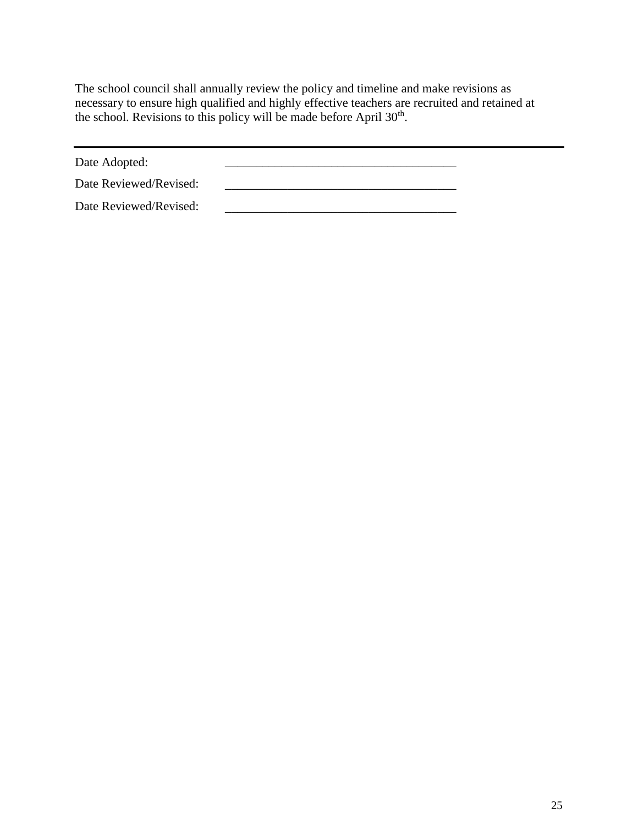The school council shall annually review the policy and timeline and make revisions as necessary to ensure high qualified and highly effective teachers are recruited and retained at the school. Revisions to this policy will be made before April 30<sup>th</sup>.

Date Adopted: \_\_\_\_\_\_\_\_\_\_\_\_\_\_\_\_\_\_\_\_\_\_\_\_\_\_\_\_\_\_\_\_\_\_\_\_\_

Date Reviewed/Revised: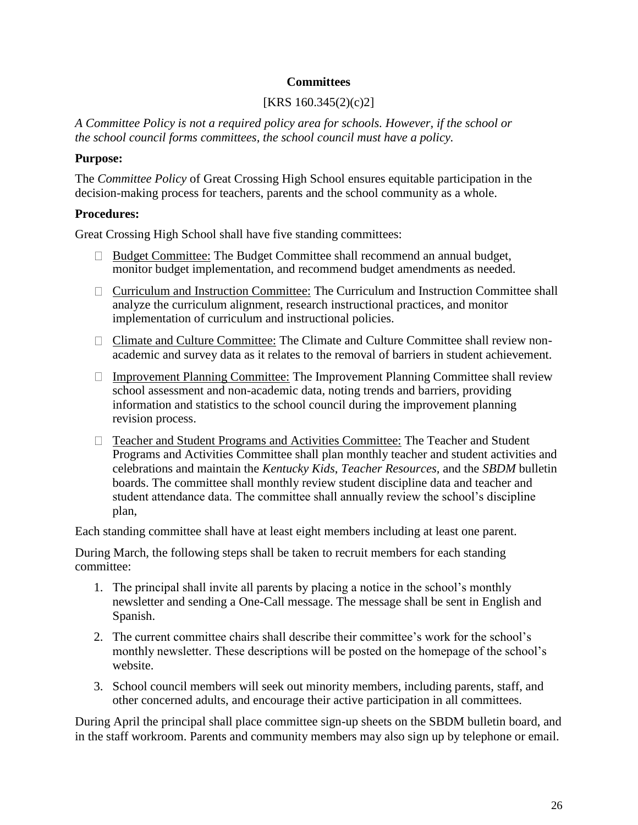### **Committees**

# [KRS 160.345(2)(c)2]

*A Committee Policy is not a required policy area for schools. However, if the school or the school council forms committees, the school council must have a policy.*

# **Purpose:**

The *Committee Policy* of Great Crossing High School ensures equitable participation in the decision-making process for teachers, parents and the school community as a whole.

# **Procedures:**

Great Crossing High School shall have five standing committees:

- $\Box$  Budget Committee: The Budget Committee shall recommend an annual budget, monitor budget implementation, and recommend budget amendments as needed.
- Curriculum and Instruction Committee: The Curriculum and Instruction Committee shall analyze the curriculum alignment, research instructional practices, and monitor implementation of curriculum and instructional policies.
- Climate and Culture Committee: The Climate and Culture Committee shall review nonacademic and survey data as it relates to the removal of barriers in student achievement.
- $\Box$  Improvement Planning Committee: The Improvement Planning Committee shall review school assessment and non-academic data, noting trends and barriers, providing information and statistics to the school council during the improvement planning revision process.
- □ Teacher and Student Programs and Activities Committee: The Teacher and Student Programs and Activities Committee shall plan monthly teacher and student activities and celebrations and maintain the *Kentucky Kids*, *Teacher Resources,* and the *SBDM* bulletin boards. The committee shall monthly review student discipline data and teacher and student attendance data. The committee shall annually review the school's discipline plan,

Each standing committee shall have at least eight members including at least one parent.

During March, the following steps shall be taken to recruit members for each standing committee:

- 1. The principal shall invite all parents by placing a notice in the school's monthly newsletter and sending a One-Call message. The message shall be sent in English and Spanish.
- 2. The current committee chairs shall describe their committee's work for the school's monthly newsletter. These descriptions will be posted on the homepage of the school's website.
- 3. School council members will seek out minority members, including parents, staff, and other concerned adults, and encourage their active participation in all committees.

During April the principal shall place committee sign-up sheets on the SBDM bulletin board, and in the staff workroom. Parents and community members may also sign up by telephone or email.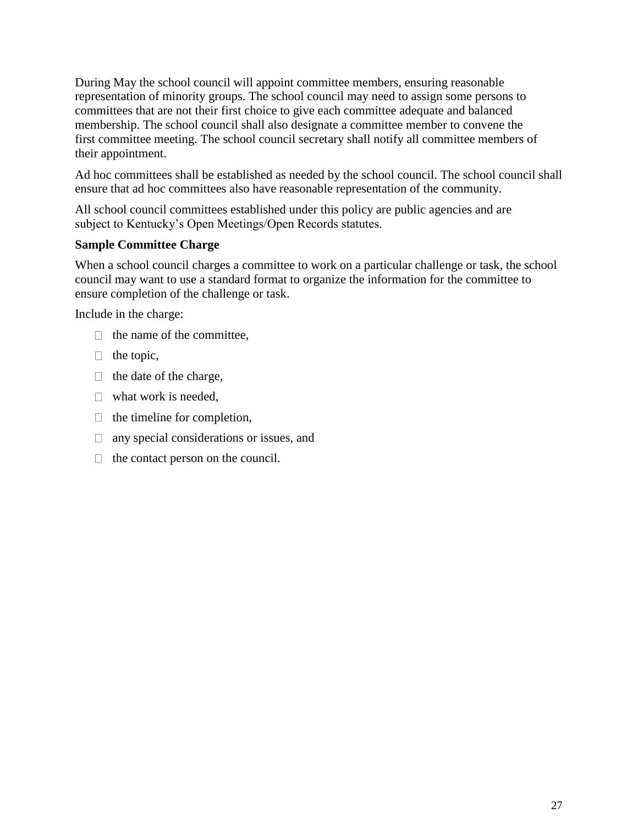During May the school council will appoint committee members, ensuring reasonable representation of minority groups. The school council may need to assign some persons to committees that are not their first choice to give each committee adequate and balanced membership. The school council shall also designate a committee member to convene the first committee meeting. The school council secretary shall notify all committee members of their appointment.

Ad hoc committees shall be established as needed by the school council. The school council shall ensure that ad hoc committees also have reasonable representation of the community.

All school council committees established under this policy are public agencies and are subject to Kentucky's Open Meetings/Open Records statutes.

# **Sample Committee Charge**

When a school council charges a committee to work on a particular challenge or task, the school council may want to use a standard format to organize the information for the committee to ensure completion of the challenge or task.

Include in the charge:

- $\Box$  the name of the committee.
- $\Box$  the topic,
- $\Box$  the date of the charge,
- $\Box$  what work is needed.
- $\Box$  the timeline for completion,
- □ any special considerations or issues, and
- $\Box$  the contact person on the council.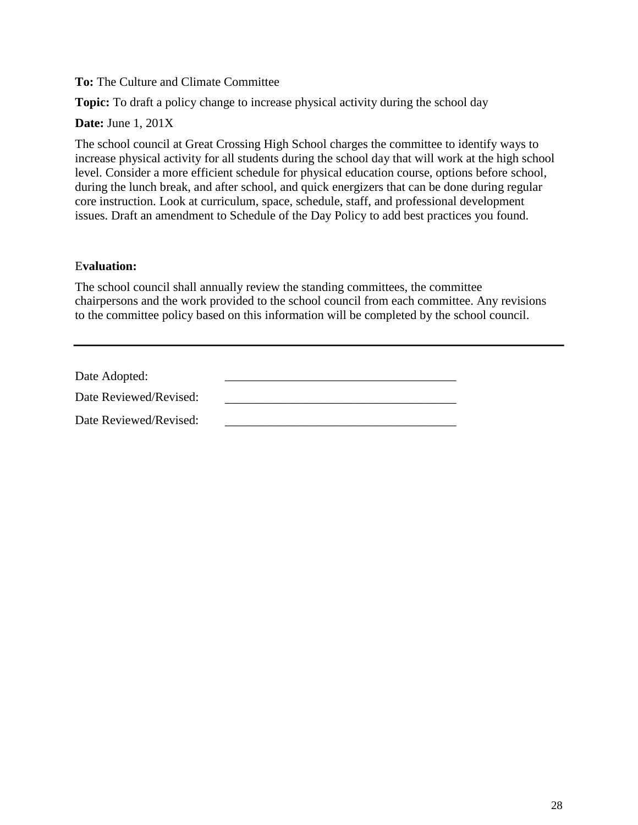**To:** The Culture and Climate Committee

**Topic:** To draft a policy change to increase physical activity during the school day

**Date:** June 1, 201X

The school council at Great Crossing High School charges the committee to identify ways to increase physical activity for all students during the school day that will work at the high school level. Consider a more efficient schedule for physical education course, options before school, during the lunch break, and after school, and quick energizers that can be done during regular core instruction. Look at curriculum, space, schedule, staff, and professional development issues. Draft an amendment to Schedule of the Day Policy to add best practices you found.

### E**valuation:**

The school council shall annually review the standing committees, the committee chairpersons and the work provided to the school council from each committee. Any revisions to the committee policy based on this information will be completed by the school council.

| Date Adopted:          |  |
|------------------------|--|
| Date Reviewed/Revised: |  |
| Date Reviewed/Revised: |  |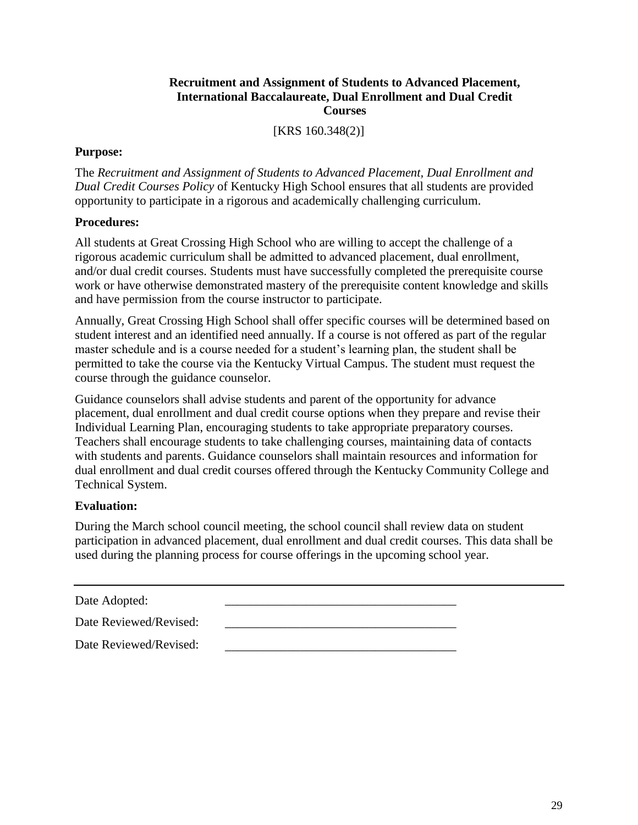### **Recruitment and Assignment of Students to Advanced Placement, International Baccalaureate, Dual Enrollment and Dual Credit Courses**

[KRS 160.348(2)]

#### **Purpose:**

The *Recruitment and Assignment of Students to Advanced Placement, Dual Enrollment and Dual Credit Courses Policy* of Kentucky High School ensures that all students are provided opportunity to participate in a rigorous and academically challenging curriculum.

### **Procedures:**

All students at Great Crossing High School who are willing to accept the challenge of a rigorous academic curriculum shall be admitted to advanced placement, dual enrollment, and/or dual credit courses. Students must have successfully completed the prerequisite course work or have otherwise demonstrated mastery of the prerequisite content knowledge and skills and have permission from the course instructor to participate.

Annually, Great Crossing High School shall offer specific courses will be determined based on student interest and an identified need annually. If a course is not offered as part of the regular master schedule and is a course needed for a student's learning plan, the student shall be permitted to take the course via the Kentucky Virtual Campus. The student must request the course through the guidance counselor.

Guidance counselors shall advise students and parent of the opportunity for advance placement, dual enrollment and dual credit course options when they prepare and revise their Individual Learning Plan, encouraging students to take appropriate preparatory courses. Teachers shall encourage students to take challenging courses, maintaining data of contacts with students and parents. Guidance counselors shall maintain resources and information for dual enrollment and dual credit courses offered through the Kentucky Community College and Technical System.

# **Evaluation:**

During the March school council meeting, the school council shall review data on student participation in advanced placement, dual enrollment and dual credit courses. This data shall be used during the planning process for course offerings in the upcoming school year.

| Date Adopted: |  |
|---------------|--|
|               |  |

Date Reviewed/Revised: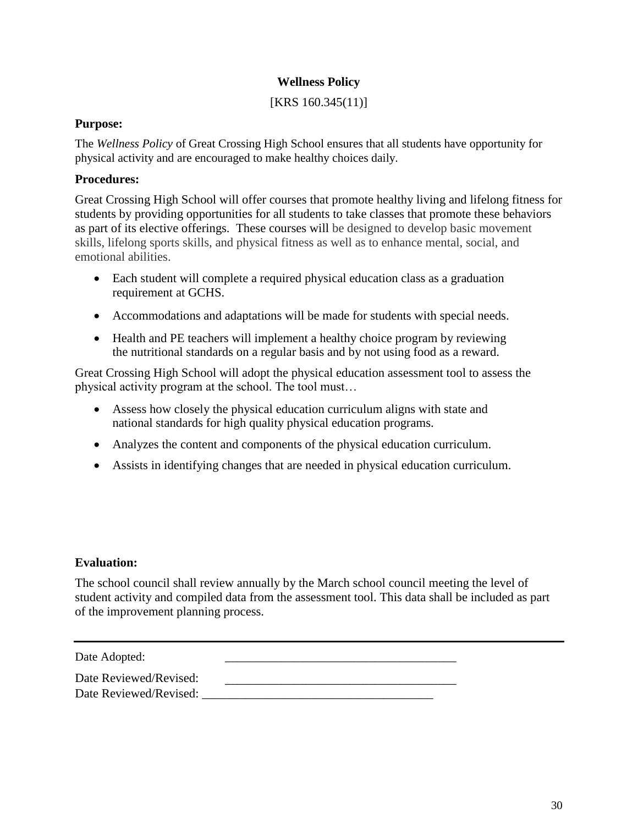# **Wellness Policy**

[KRS 160.345(11)]

# **Purpose:**

The *Wellness Policy* of Great Crossing High School ensures that all students have opportunity for physical activity and are encouraged to make healthy choices daily.

# **Procedures:**

Great Crossing High School will offer courses that promote healthy living and lifelong fitness for students by providing opportunities for all students to take classes that promote these behaviors as part of its elective offerings. These courses will be designed to develop basic movement skills, lifelong sports skills, and physical fitness as well as to enhance mental, social, and emotional abilities.

- Each student will complete a required physical education class as a graduation requirement at GCHS.
- Accommodations and adaptations will be made for students with special needs.
- Health and PE teachers will implement a healthy choice program by reviewing the nutritional standards on a regular basis and by not using food as a reward.

Great Crossing High School will adopt the physical education assessment tool to assess the physical activity program at the school. The tool must…

- Assess how closely the physical education curriculum aligns with state and national standards for high quality physical education programs.
- Analyzes the content and components of the physical education curriculum.
- Assists in identifying changes that are needed in physical education curriculum.

# **Evaluation:**

The school council shall review annually by the March school council meeting the level of student activity and compiled data from the assessment tool. This data shall be included as part of the improvement planning process.

Date Adopted:

Date Reviewed/Revised: \_\_\_\_\_\_\_\_\_\_\_\_\_\_\_\_\_\_\_\_\_\_\_\_\_\_\_\_\_\_\_\_\_\_\_\_\_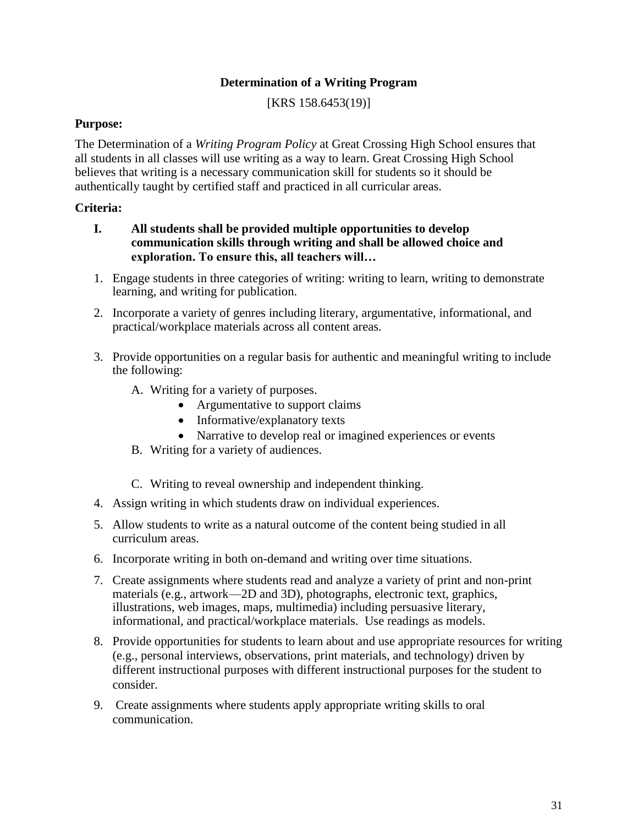# **Determination of a Writing Program**

[KRS 158.6453(19)]

# **Purpose:**

The Determination of a *Writing Program Policy* at Great Crossing High School ensures that all students in all classes will use writing as a way to learn. Great Crossing High School believes that writing is a necessary communication skill for students so it should be authentically taught by certified staff and practiced in all curricular areas.

## **Criteria:**

- **I. All students shall be provided multiple opportunities to develop communication skills through writing and shall be allowed choice and exploration. To ensure this, all teachers will…**
- 1. Engage students in three categories of writing: writing to learn, writing to demonstrate learning, and writing for publication.
- 2. Incorporate a variety of genres including literary, argumentative, informational, and practical/workplace materials across all content areas.
- 3. Provide opportunities on a regular basis for authentic and meaningful writing to include the following:
	- A. Writing for a variety of purposes.
		- Argumentative to support claims
		- Informative/explanatory texts
		- Narrative to develop real or imagined experiences or events
	- B. Writing for a variety of audiences.
	- C. Writing to reveal ownership and independent thinking.
- 4. Assign writing in which students draw on individual experiences.
- 5. Allow students to write as a natural outcome of the content being studied in all curriculum areas.
- 6. Incorporate writing in both on-demand and writing over time situations.
- 7. Create assignments where students read and analyze a variety of print and non-print materials (e.g., artwork—2D and 3D), photographs, electronic text, graphics, illustrations, web images, maps, multimedia) including persuasive literary, informational, and practical/workplace materials. Use readings as models.
- 8. Provide opportunities for students to learn about and use appropriate resources for writing (e.g., personal interviews, observations, print materials, and technology) driven by different instructional purposes with different instructional purposes for the student to consider.
- 9. Create assignments where students apply appropriate writing skills to oral communication.